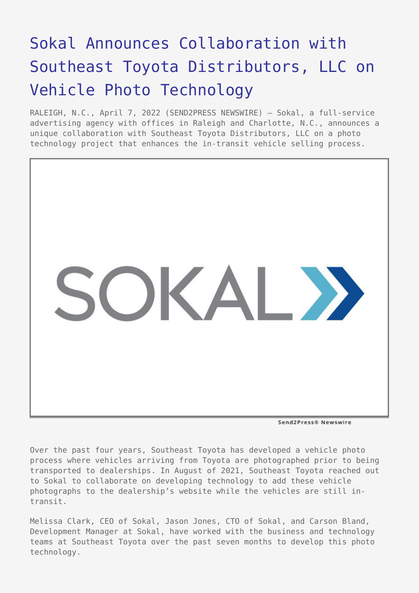## [Sokal Announces Collaboration with](https://www.send2press.com/wire/sokal-announces-collaboration-with-southeast-toyota-distributors-llc-on-vehicle-photo-technology/) [Southeast Toyota Distributors, LLC on](https://www.send2press.com/wire/sokal-announces-collaboration-with-southeast-toyota-distributors-llc-on-vehicle-photo-technology/) [Vehicle Photo Technology](https://www.send2press.com/wire/sokal-announces-collaboration-with-southeast-toyota-distributors-llc-on-vehicle-photo-technology/)

RALEIGH, N.C., April 7, 2022 (SEND2PRESS NEWSWIRE) — Sokal, a full-service advertising agency with offices in Raleigh and Charlotte, N.C., announces a unique collaboration with Southeast Toyota Distributors, LLC on a photo technology project that enhances the in-transit vehicle selling process.



Send2Press® Newswire

Over the past four years, Southeast Toyota has developed a vehicle photo process where vehicles arriving from Toyota are photographed prior to being transported to dealerships. In August of 2021, Southeast Toyota reached out to Sokal to collaborate on developing technology to add these vehicle photographs to the dealership's website while the vehicles are still intransit.

Melissa Clark, CEO of Sokal, Jason Jones, CTO of Sokal, and Carson Bland, Development Manager at Sokal, have worked with the business and technology teams at Southeast Toyota over the past seven months to develop this photo technology.